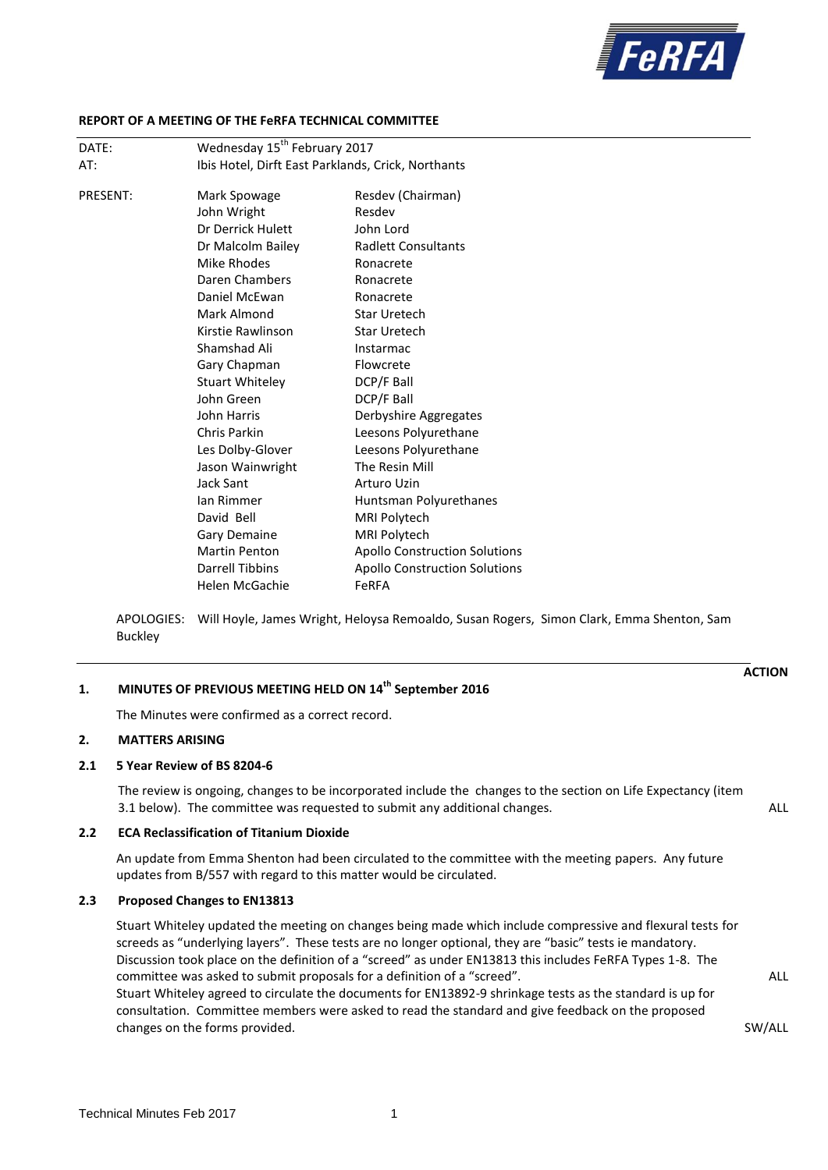

**ACTION**

### **REPORT OF A MEETING OF THE FeRFA TECHNICAL COMMITTEE**

| DATE:    | Wednesday 15 <sup>th</sup> February 2017 |                                                    |  |
|----------|------------------------------------------|----------------------------------------------------|--|
| AT:      |                                          | Ibis Hotel, Dirft East Parklands, Crick, Northants |  |
| PRESENT: | Mark Spowage                             | Resdev (Chairman)                                  |  |
|          |                                          | Resdev                                             |  |
|          | John Wright<br>Dr Derrick Hulett         | John Lord                                          |  |
|          |                                          |                                                    |  |
|          | Dr Malcolm Bailey                        | <b>Radlett Consultants</b>                         |  |
|          | Mike Rhodes                              | Ronacrete                                          |  |
|          | Daren Chambers                           | Ronacrete                                          |  |
|          | Daniel McEwan                            | Ronacrete                                          |  |
|          | Mark Almond                              | <b>Star Uretech</b>                                |  |
|          | Kirstie Rawlinson                        | <b>Star Uretech</b>                                |  |
|          | Shamshad Ali                             | Instarmac                                          |  |
|          | Gary Chapman                             | Flowcrete                                          |  |
|          | <b>Stuart Whiteley</b>                   | DCP/F Ball                                         |  |
|          | John Green                               | DCP/F Ball                                         |  |
|          | John Harris                              | Derbyshire Aggregates                              |  |
|          | Chris Parkin                             | Leesons Polyurethane                               |  |
|          | Les Dolby-Glover                         | Leesons Polyurethane                               |  |
|          | Jason Wainwright                         | The Resin Mill                                     |  |
|          | Jack Sant                                | Arturo Uzin                                        |  |
|          | lan Rimmer                               | Huntsman Polyurethanes                             |  |
|          | David Bell                               | MRI Polytech                                       |  |
|          | Gary Demaine                             | MRI Polytech                                       |  |
|          | <b>Martin Penton</b>                     | <b>Apollo Construction Solutions</b>               |  |
|          | <b>Darrell Tibbins</b>                   | <b>Apollo Construction Solutions</b>               |  |
|          | Helen McGachie                           | FeRFA                                              |  |
|          |                                          |                                                    |  |

APOLOGIES: Will Hoyle, James Wright, Heloysa Remoaldo, Susan Rogers, Simon Clark, Emma Shenton, Sam Buckley

# **1. MINUTES OF PREVIOUS MEETING HELD ON 14 th September 2016**

The Minutes were confirmed as a correct record.

### **2. MATTERS ARISING**

#### **2.1 5 Year Review of BS 8204-6**

The review is ongoing, changes to be incorporated include the changes to the section on Life Expectancy (item 3.1 below). The committee was requested to submit any additional changes. ALL

## **2.2 ECA Reclassification of Titanium Dioxide**

An update from Emma Shenton had been circulated to the committee with the meeting papers. Any future updates from B/557 with regard to this matter would be circulated.

#### **2.3 Proposed Changes to EN13813**

Stuart Whiteley updated the meeting on changes being made which include compressive and flexural tests for screeds as "underlying layers". These tests are no longer optional, they are "basic" tests ie mandatory. Discussion took place on the definition of a "screed" as under EN13813 this includes FeRFA Types 1-8. The committee was asked to submit proposals for a definition of a "screed". ALL Stuart Whiteley agreed to circulate the documents for EN13892-9 shrinkage tests as the standard is up for consultation. Committee members were asked to read the standard and give feedback on the proposed changes on the forms provided. The state of the forms provided. SW/ALL state of the state of the state of the sweden state of the state of the state of the state of the state of the state of the state of the state of the s

Technical Minutes Feb 2017 1999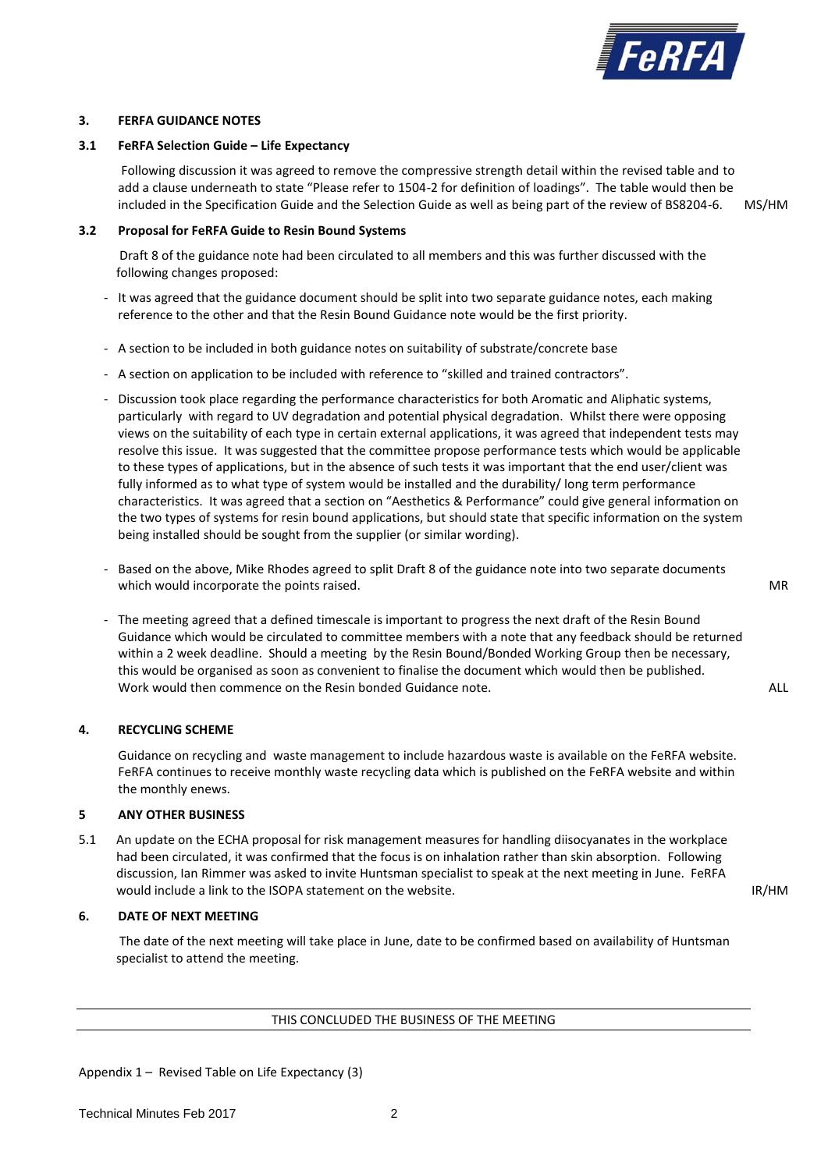

### **3. FERFA GUIDANCE NOTES**

# **3.1 FeRFA Selection Guide – Life Expectancy**

Following discussion it was agreed to remove the compressive strength detail within the revised table and to add a clause underneath to state "Please refer to 1504-2 for definition of loadings". The table would then be included in the Specification Guide and the Selection Guide as well as being part of the review of BS8204-6. MS/HM

**3.2 Proposal for FeRFA Guide to Resin Bound Systems**

Draft 8 of the guidance note had been circulated to all members and this was further discussed with the following changes proposed:

- It was agreed that the guidance document should be split into two separate guidance notes, each making reference to the other and that the Resin Bound Guidance note would be the first priority.
- A section to be included in both guidance notes on suitability of substrate/concrete base
- A section on application to be included with reference to "skilled and trained contractors".
- Discussion took place regarding the performance characteristics for both Aromatic and Aliphatic systems, particularly with regard to UV degradation and potential physical degradation. Whilst there were opposing views on the suitability of each type in certain external applications, it was agreed that independent tests may resolve this issue. It was suggested that the committee propose performance tests which would be applicable to these types of applications, but in the absence of such tests it was important that the end user/client was fully informed as to what type of system would be installed and the durability/ long term performance characteristics. It was agreed that a section on "Aesthetics & Performance" could give general information on the two types of systems for resin bound applications, but should state that specific information on the system being installed should be sought from the supplier (or similar wording).
- Based on the above, Mike Rhodes agreed to split Draft 8 of the guidance note into two separate documents which would incorporate the points raised. MR
- The meeting agreed that a defined timescale is important to progress the next draft of the Resin Bound Guidance which would be circulated to committee members with a note that any feedback should be returned within a 2 week deadline. Should a meeting by the Resin Bound/Bonded Working Group then be necessary, this would be organised as soon as convenient to finalise the document which would then be published. Work would then commence on the Resin bonded Guidance note. The commence of the ALL

# **4. RECYCLING SCHEME**

Guidance on recycling and waste management to include hazardous waste is available on the FeRFA website. FeRFA continues to receive monthly waste recycling data which is published on the FeRFA website and within the monthly enews.

### **5 ANY OTHER BUSINESS**

5.1 An update on the ECHA proposal for risk management measures for handling diisocyanates in the workplace had been circulated, it was confirmed that the focus is on inhalation rather than skin absorption. Following discussion, Ian Rimmer was asked to invite Huntsman specialist to speak at the next meeting in June. FeRFA would include a link to the ISOPA statement on the website. In the statement on the website.

### **6. DATE OF NEXT MEETING**

The date of the next meeting will take place in June, date to be confirmed based on availability of Huntsman specialist to attend the meeting.

### THIS CONCLUDED THE BUSINESS OF THE MEETING

Appendix 1 – Revised Table on Life Expectancy (3)